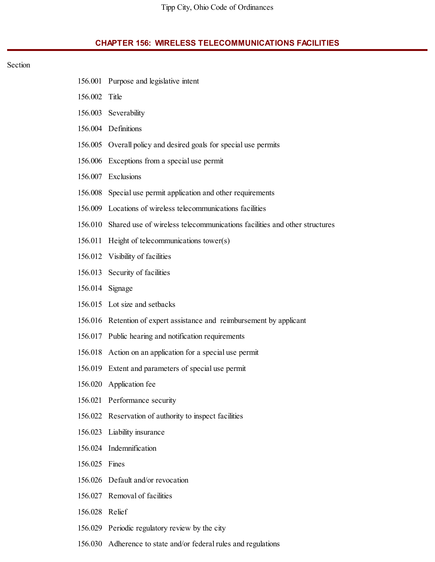## **CHAPTER 156: WIRELESS TELECOMMUNICATIONS FACILITIES**

## Section

|               | 156.001 Purpose and legislative intent                                    |
|---------------|---------------------------------------------------------------------------|
| 156.002 Title |                                                                           |
|               | 156.003 Severability                                                      |
|               | 156.004 Definitions                                                       |
| 156.005       | Overall policy and desired goals for special use permits                  |
| 156.006       | Exceptions from a special use permit                                      |
|               | 156.007 Exclusions                                                        |
| 156.008       | Special use permit application and other requirements                     |
|               | 156.009 Locations of wireless telecommunications facilities               |
| 156.010       | Shared use of wireless telecommunications facilities and other structures |
| 156.011       | Height of telecommunications tower(s)                                     |
|               | 156.012 Visibility of facilities                                          |
| 156.013       | Security of facilities                                                    |
| 156.014       | Signage                                                                   |
|               | 156.015 Lot size and setbacks                                             |
|               | 156.016 Retention of expert assistance and reimbursement by applicant     |
| 156.017       | Public hearing and notification requirements                              |
|               | 156.018 Action on an application for a special use permit                 |
|               | 156.019 Extent and parameters of special use permit                       |
|               | 156.020 Application fee                                                   |
|               | 156.021 Performance security                                              |
|               | 156.022 Reservation of authority to inspect facilities                    |
|               | 156.023 Liability insurance                                               |
| 156.024       | Indemnification                                                           |
| 156.025       | Fines                                                                     |
|               | 156.026 Default and/or revocation                                         |
| 156.027       | Removal of facilities                                                     |
| 156.028       | Relief                                                                    |
| 156.029       | Periodic regulatory review by the city                                    |

156.030 Adherence to state and/or federal rules and regulations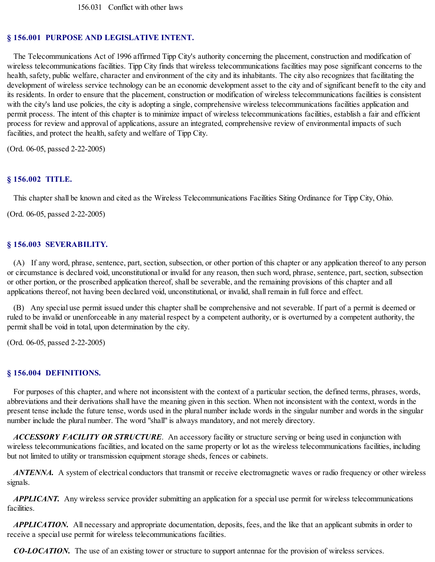### **§ 156.001 PURPOSE AND LEGISLATIVE INTENT.**

The Telecommunications Act of 1996 affirmed Tipp City's authority concerning the placement, construction and modification of wireless telecommunications facilities. Tipp City finds that wireless telecommunications facilities may pose significant concerns to the health, safety, public welfare, character and environment of the city and its inhabitants. The city also recognizes that facilitating the development of wireless service technology can be an economic development asset to the city and of significant benefit to the city and its residents. In order to ensure that the placement, construction or modification of wireless telecommunications facilities is consistent with the city's land use policies, the city is adopting a single, comprehensive wireless telecommunications facilities application and permit process. The intent of this chapter is to minimize impact of wireless telecommunications facilities, establish a fair and efficient process for review and approval of applications, assure an integrated, comprehensive review of environmental impacts of such facilities, and protect the health, safety and welfare of Tipp City.

(Ord. 06-05, passed 2-22-2005)

#### **§ 156.002 TITLE.**

This chapter shall be known and cited as the Wireless Telecommunications Facilities Siting Ordinance for Tipp City, Ohio.

(Ord. 06-05, passed 2-22-2005)

#### **§ 156.003 SEVERABILITY.**

(A) If any word, phrase, sentence, part, section, subsection, or other portion of this chapter or any application thereof to any person or circumstance is declared void, unconstitutional or invalid for any reason, then such word, phrase, sentence, part, section, subsection or other portion, or the proscribed application thereof, shall be severable, and the remaining provisions of this chapter and all applications thereof, not having been declared void, unconstitutional, or invalid, shall remain in full force and effect.

(B) Any special use permit issued under this chapter shall be comprehensive and not severable. If part of a permit is deemed or ruled to be invalid or unenforceable in any material respect by a competent authority, or is overturned by a competent authority, the permit shall be void in total, upon determination by the city.

(Ord. 06-05, passed 2-22-2005)

#### **§ 156.004 DEFINITIONS.**

For purposes of this chapter, and where not inconsistent with the context of a particular section, the defined terms, phrases, words, abbreviations and their derivations shall have the meaning given in this section. When not inconsistent with the context, words in the present tense include the future tense, words used in the plural number include words in the singular number and words in the singular number include the plural number. The word "shall" is always mandatory, and not merely directory.

*ACCESSORY FACILITY OR STRUCTURE*. An accessory facility or structure serving or being used in conjunction with wireless telecommunications facilities, and located on the same property or lot as the wireless telecommunications facilities, including but not limited to utility or transmission equipment storage sheds, fences or cabinets.

*ANTENNA.* A system of electrical conductors that transmit or receive electromagnetic waves or radio frequency or other wireless signals.

*APPLICANT.* Any wireless service provider submitting an application for a special use permit for wireless telecommunications facilities.

*APPLICATION.* All necessary and appropriate documentation, deposits, fees, and the like that an applicant submits in order to receive a special use permit for wireless telecommunications facilities.

*CO-LOCATION.* The use of an existing tower or structure to support antennae for the provision of wireless services.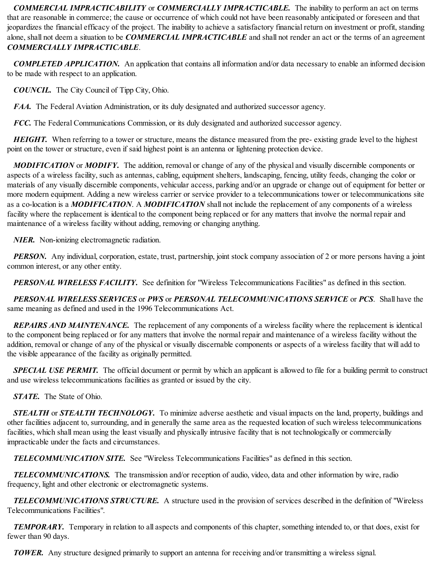*COMMERCIAL IMPRACTICABILITY* or *COMMERCIALLY IMPRACTICABLE.* The inability to perform an act on terms that are reasonable in commerce; the cause or occurrence of which could not have been reasonably anticipated or foreseen and that jeopardizes the financial efficacy of the project. The inability to achieve a satisfactory financial return on investment or profit, standing alone, shall not deem a situation to be *COMMERCIAL IMPRACTICABLE* and shall not render an act or the terms of an agreement *COMMERCIALLY IMPRACTICABLE*.

*COMPLETED APPLICATION.* An application that contains all information and/or data necessary to enable an informed decision to be made with respect to an application.

*COUNCIL.* The City Council of Tipp City, Ohio.

*FAA.* The Federal Aviation Administration, or its duly designated and authorized successor agency.

*FCC.* The Federal Communications Commission, or its duly designated and authorized successor agency.

*HEIGHT*. When referring to a tower or structure, means the distance measured from the pre- existing grade level to the highest point on the tower or structure, even if said highest point is an antenna or lightening protection device.

*MODIFICATION* or *MODIFY.* The addition, removal or change of any of the physical and visually discernible components or aspects of a wireless facility, such as antennas, cabling, equipment shelters, landscaping, fencing, utility feeds, changing the color or materials of any visually discernible components, vehicular access, parking and/or an upgrade or change out of equipment for better or more modern equipment. Adding a new wireless carrier or service provider to a telecommunications tower or telecommunications site as a co-location is a *MODIFICATION*. A *MODIFICATION* shall not include the replacement of any components of a wireless facility where the replacement is identical to the component being replaced or for any matters that involve the normal repair and maintenance of a wireless facility without adding, removing or changing anything.

*NIER.* Non-ionizing electromagnetic radiation.

*PERSON*. Any individual, corporation, estate, trust, partnership, joint stock company association of 2 or more persons having a joint common interest, or any other entity.

*PERSONAL WIRELESS FACILITY.* See definition for "Wireless Telecommunications Facilities" as defined in this section.

*PERSONAL WIRELESS SERVICES* or *PWS* or *PERSONAL TELECOMMUNICATIONS SERVICE* or *PCS*. Shall have the same meaning as defined and used in the 1996 Telecommunications Act.

*REPAIRS AND MAINTENANCE.* The replacement of any components of a wireless facility where the replacement is identical to the component being replaced or for any matters that involve the normal repair and maintenance of a wireless facility without the addition, removal or change of any of the physical or visually discernable components or aspects of a wireless facility that will add to the visible appearance of the facility as originally permitted.

**SPECIAL USE PERMIT.** The official document or permit by which an applicant is allowed to file for a building permit to construct and use wireless telecommunications facilities as granted or issued by the city.

*STATE.* The State of Ohio.

*STEALTH* or *STEALTH TECHNOLOGY.* To minimize adverse aesthetic and visual impacts on the land, property, buildings and other facilities adjacent to, surrounding, and in generally the same area as the requested location of such wireless telecommunications facilities, which shall mean using the least visually and physically intrusive facility that is not technologically or commercially impracticable under the facts and circumstances.

*TELECOMMUNICATION SITE.* See "Wireless Telecommunications Facilities" as defined in this section.

*TELECOMMUNICATIONS.* The transmission and/or reception of audio, video, data and other information by wire, radio frequency, light and other electronic or electromagnetic systems.

*TELECOMMUNICATIONS STRUCTURE.* A structure used in the provision of services described in the definition of "Wireless Telecommunications Facilities".

*TEMPORARY.* Temporary in relation to all aspects and components of this chapter, something intended to, or that does, exist for fewer than 90 days.

*TOWER.* Any structure designed primarily to support an antenna for receiving and/or transmitting a wireless signal.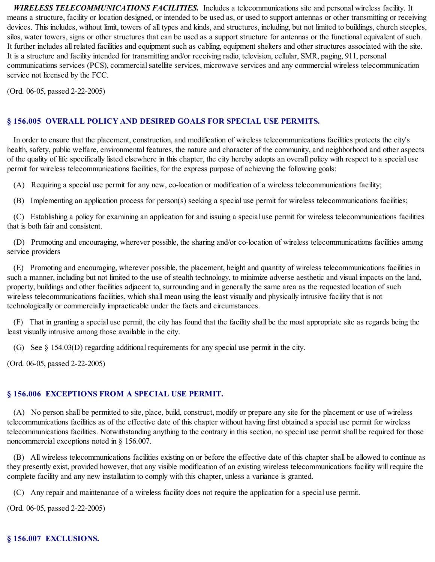*WIRELESS TELECOMMUNICATIONS FACILITIES.* Includes a telecommunications site and personal wireless facility. It means a structure, facility or location designed, or intended to be used as, or used to support antennas or other transmitting or receiving devices. This includes, without limit, towers of all types and kinds, and structures, including, but not limited to buildings, church steeples, silos, water towers, signs or other structures that can be used as a support structure for antennas or the functional equivalent of such. It further includes all related facilities and equipment such as cabling, equipment shelters and other structures associated with the site. It is a structure and facility intended for transmitting and/or receiving radio, television, cellular, SMR, paging, 911, personal communications services (PCS), commercial satellite services, microwave services and any commercial wireless telecommunication service not licensed by the FCC.

(Ord. 06-05, passed 2-22-2005)

## **§ 156.005 OVERALL POLICY AND DESIRED GOALS FOR SPECIAL USE PERMITS.**

In order to ensure that the placement, construction, and modification of wireless telecommunications facilities protects the city's health, safety, public welfare, environmental features, the nature and character of the community, and neighborhood and other aspects of the quality of life specifically listed elsewhere in this chapter, the city hereby adopts an overall policy with respect to a special use permit for wireless telecommunications facilities, for the express purpose of achieving the following goals:

(A) Requiring a special use permit for any new, co-location or modification of a wireless telecommunications facility;

(B) Implementing an application process for person(s) seeking a special use permit for wireless telecommunications facilities;

(C) Establishing a policy for examining an application for and issuing a special use permit for wireless telecommunications facilities that is both fair and consistent.

(D) Promoting and encouraging, wherever possible, the sharing and/or co-location of wireless telecommunications facilities among service providers

(E) Promoting and encouraging, wherever possible, the placement, height and quantity of wireless telecommunications facilities in such a manner, including but not limited to the use of stealth technology, to minimize adverse aesthetic and visual impacts on the land, property, buildings and other facilities adjacent to, surrounding and in generally the same area as the requested location of such wireless telecommunications facilities, which shall mean using the least visually and physically intrusive facility that is not technologically or commercially impracticable under the facts and circumstances.

(F) That in granting a special use permit, the city has found that the facility shall be the most appropriate site as regards being the least visually intrusive among those available in the city.

(G) See § 154.03(D) regarding additional requirements for any special use permit in the city.

(Ord. 06-05, passed 2-22-2005)

# **§ 156.006 EXCEPTIONS FROM A SPECIAL USE PERMIT.**

(A) No person shall be permitted to site, place, build, construct, modify or prepare any site for the placement or use of wireless telecommunications facilities as of the effective date of this chapter without having first obtained a special use permit for wireless telecommunications facilities. Notwithstanding anything to the contrary in this section, no special use permit shall be required for those noncommercial exceptions noted in § 156.007.

(B) All wireless telecommunications facilities existing on or before the effective date of this chapter shall be allowed to continue as they presently exist, provided however, that any visible modification of an existing wireless telecommunications facility will require the complete facility and any new installation to comply with this chapter, unless a variance is granted.

(C) Any repair and maintenance of a wireless facility does not require the application for a special use permit.

(Ord. 06-05, passed 2-22-2005)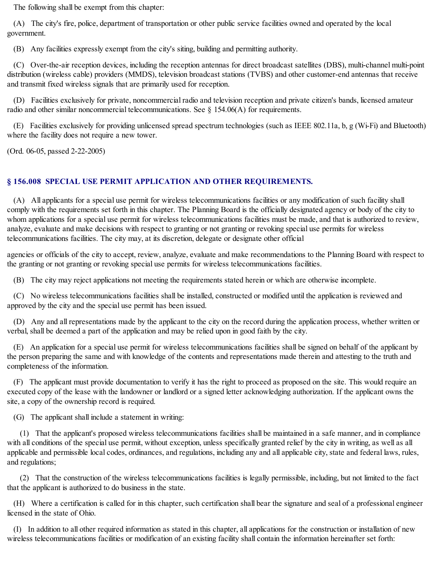The following shall be exempt from this chapter:

(A) The city's fire, police, department of transportation or other public service facilities owned and operated by the local government.

(B) Any facilities expressly exempt from the city's siting, building and permitting authority.

(C) Over-the-air reception devices, including the reception antennas for direct broadcast satellites (DBS), multi-channel multi-point distribution (wireless cable) providers (MMDS), television broadcast stations (TVBS) and other customer-end antennas that receive and transmit fixed wireless signals that are primarily used for reception.

(D) Facilities exclusively for private, noncommercial radio and television reception and private citizen's bands, licensed amateur radio and other similar noncommercial telecommunications. See  $\S$  154.06(A) for requirements.

(E) Facilities exclusively for providing unlicensed spread spectrum technologies (such as IEEE 802.11a, b, g (Wi-Fi) and Bluetooth) where the facility does not require a new tower.

(Ord. 06-05, passed 2-22-2005)

## **§ 156.008 SPECIAL USE PERMIT APPLICATION AND OTHER REQUIREMENTS.**

(A) All applicants for a special use permit for wireless telecommunications facilities or any modification of such facility shall comply with the requirements set forth in this chapter. The Planning Board is the officially designated agency or body of the city to whom applications for a special use permit for wireless telecommunications facilities must be made, and that is authorized to review, analyze, evaluate and make decisions with respect to granting or not granting or revoking special use permits for wireless telecommunications facilities. The city may, at its discretion, delegate or designate other official

agencies or officials of the city to accept, review, analyze, evaluate and make recommendations to the Planning Board with respect to the granting or not granting or revoking special use permits for wireless telecommunications facilities.

(B) The city may reject applications not meeting the requirements stated herein or which are otherwise incomplete.

(C) No wireless telecommunications facilities shall be installed, constructed or modified until the application is reviewed and approved by the city and the special use permit has been issued.

(D) Any and all representations made by the applicant to the city on the record during the application process, whether written or verbal, shall be deemed a part of the application and may be relied upon in good faith by the city.

(E) An application for a special use permit for wireless telecommunications facilities shall be signed on behalf of the applicant by the person preparing the same and with knowledge of the contents and representations made therein and attesting to the truth and completeness of the information.

(F) The applicant must provide documentation to verify it has the right to proceed as proposed on the site. This would require an executed copy of the lease with the landowner or landlord or a signed letter acknowledging authorization. If the applicant owns the site, a copy of the ownership record is required.

(G) The applicant shall include a statement in writing:

(1) That the applicant's proposed wireless telecommunications facilities shall be maintained in a safe manner, and in compliance with all conditions of the special use permit, without exception, unless specifically granted relief by the city in writing, as well as all applicable and permissible local codes, ordinances, and regulations, including any and all applicable city, state and federal laws, rules, and regulations;

(2) That the construction of the wireless telecommunications facilities is legally permissible, including, but not limited to the fact that the applicant is authorized to do business in the state.

(H) Where a certification is called for in this chapter, such certification shall bear the signature and seal of a professional engineer licensed in the state of Ohio.

(I) In addition to all other required information as stated in this chapter, all applications for the construction or installation of new wireless telecommunications facilities or modification of an existing facility shall contain the information hereinafter set forth: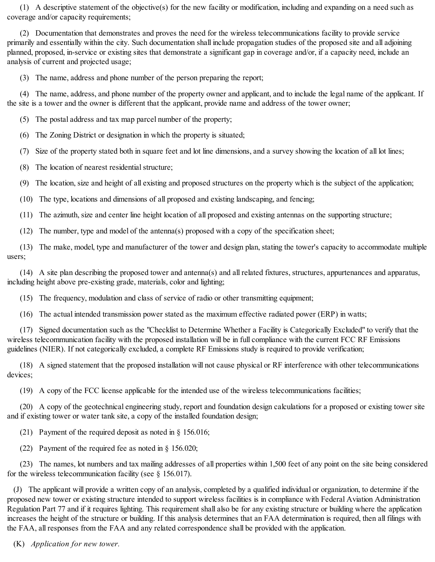(1) A descriptive statement of the objective(s) for the new facility or modification, including and expanding on a need such as coverage and/or capacity requirements;

(2) Documentation that demonstrates and proves the need for the wireless telecommunications facility to provide service primarily and essentially within the city. Such documentation shall include propagation studies of the proposed site and all adjoining planned, proposed, in-service or existing sites that demonstrate a significant gap in coverage and/or, if a capacity need, include an analysis of current and projected usage;

(3) The name, address and phone number of the person preparing the report;

(4) The name, address, and phone number of the property owner and applicant, and to include the legal name of the applicant. If the site is a tower and the owner is different that the applicant, provide name and address of the tower owner;

(5) The postal address and tax map parcel number of the property;

(6) The Zoning District or designation in which the property is situated;

(7) Size of the property stated both in square feet and lot line dimensions, and a survey showing the location of all lot lines;

(8) The location of nearest residential structure;

(9) The location, size and height of all existing and proposed structures on the property which is the subject of the application;

(10) The type, locations and dimensions of all proposed and existing landscaping, and fencing;

(11) The azimuth, size and center line height location of all proposed and existing antennas on the supporting structure;

(12) The number, type and model of the antenna(s) proposed with a copy of the specification sheet;

(13) The make, model, type and manufacturer of the tower and design plan, stating the tower's capacity to accommodate multiple users;

(14) A site plan describing the proposed tower and antenna(s) and all related fixtures, structures, appurtenances and apparatus, including height above pre-existing grade, materials, color and lighting;

(15) The frequency, modulation and class of service of radio or other transmitting equipment;

(16) The actual intended transmission power stated as the maximum effective radiated power (ERP) in watts;

(17) Signed documentation such as the "Checklist to Determine Whether a Facility is Categorically Excluded" to verify that the wireless telecommunication facility with the proposed installation will be in full compliance with the current FCC RF Emissions guidelines (NIER). If not categorically excluded, a complete RF Emissions study is required to provide verification;

(18) A signed statement that the proposed installation will not cause physical or RF interference with other telecommunications devices;

(19) A copy of the FCC license applicable for the intended use of the wireless telecommunications facilities;

(20) A copy of the geotechnical engineering study, report and foundation design calculations for a proposed or existing tower site and if existing tower or water tank site, a copy of the installed foundation design;

(21) Payment of the required deposit as noted in § 156.016;

(22) Payment of the required fee as noted in § 156.020;

(23) The names, lot numbers and tax mailing addresses of all properties within 1,500 feet of any point on the site being considered for the wireless telecommunication facility (see § 156.017).

(J) The applicant will provide a written copy of an analysis, completed by a qualified individual or organization, to determine if the proposed new tower or existing structure intended to support wireless facilities is in compliance with Federal Aviation Administration Regulation Part 77 and if it requires lighting. This requirement shall also be for any existing structure or building where the application increases the height of the structure or building. If this analysis determines that an FAA determination is required, then all filings with the FAA, all responses from the FAA and any related correspondence shall be provided with the application.

(K) *Application for new tower.*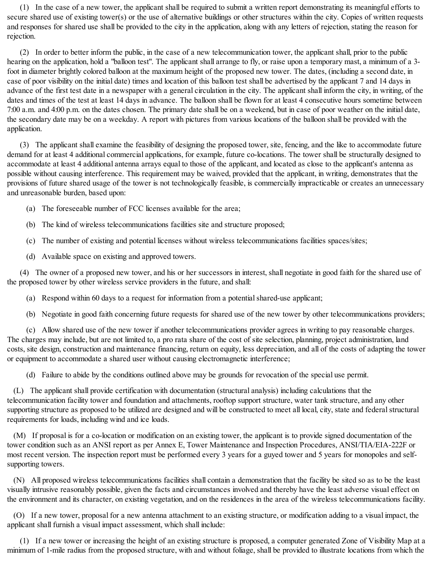(1) In the case of a new tower, the applicant shall be required to submit a written report demonstrating its meaningful efforts to secure shared use of existing tower(s) or the use of alternative buildings or other structures within the city. Copies of written requests and responses for shared use shall be provided to the city in the application, along with any letters of rejection, stating the reason for rejection.

(2) In order to better inform the public, in the case of a new telecommunication tower, the applicant shall, prior to the public hearing on the application, hold a "balloon test". The applicant shall arrange to fly, or raise upon a temporary mast, a minimum of a 3foot in diameter brightly colored balloon at the maximum height of the proposed new tower. The dates, (including a second date, in case of poor visibility on the initial date) times and location of this balloon test shall be advertised by the applicant 7 and 14 days in advance of the first test date in a newspaper with a general circulation in the city. The applicant shall inform the city, in writing, of the dates and times of the test at least 14 days in advance. The balloon shall be flown for at least 4 consecutive hours sometime between 7:00 a.m. and 4:00 p.m. on the dates chosen. The primary date shall be on a weekend, but in case of poor weather on the initial date, the secondary date may be on a weekday. A report with pictures from various locations of the balloon shall be provided with the application.

(3) The applicant shall examine the feasibility of designing the proposed tower, site, fencing, and the like to accommodate future demand for at least 4 additional commercial applications, for example, future co-locations. The tower shall be structurally designed to accommodate at least 4 additional antenna arrays equal to those of the applicant, and located as close to the applicant's antenna as possible without causing interference. This requirement may be waived, provided that the applicant, in writing, demonstrates that the provisions of future shared usage of the tower is not technologically feasible, is commercially impracticable or creates an unnecessary and unreasonable burden, based upon:

- (a) The foreseeable number of FCC licenses available for the area;
- (b) The kind of wireless telecommunications facilities site and structure proposed;
- (c) The number of existing and potential licenses without wireless telecommunications facilities spaces/sites;
- (d) Available space on existing and approved towers.

(4) The owner of a proposed new tower, and his or her successors in interest, shall negotiate in good faith for the shared use of the proposed tower by other wireless service providers in the future, and shall:

- (a) Respond within 60 days to a request for information from a potentialshared-use applicant;
- (b) Negotiate in good faith concerning future requests for shared use of the new tower by other telecommunications providers;

(c) Allow shared use of the new tower if another telecommunications provider agrees in writing to pay reasonable charges. The charges may include, but are not limited to, a pro rata share of the cost of site selection, planning, project administration, land costs, site design, construction and maintenance financing, return on equity, less depreciation, and all of the costs of adapting the tower or equipment to accommodate a shared user without causing electromagnetic interference;

(d) Failure to abide by the conditions outlined above may be grounds for revocation of the special use permit.

(L) The applicant shall provide certification with documentation (structural analysis) including calculations that the telecommunication facility tower and foundation and attachments, rooftop support structure, water tank structure, and any other supporting structure as proposed to be utilized are designed and will be constructed to meet all local, city, state and federal structural requirements for loads, including wind and ice loads.

(M) If proposal is for a co-location or modification on an existing tower, the applicant is to provide signed documentation of the tower condition such as an ANSI report as per Annex E, Tower Maintenance and Inspection Procedures, ANSI/TIA/EIA-222F or most recent version. The inspection report must be performed every 3 years for a guyed tower and 5 years for monopoles and selfsupporting towers.

(N) All proposed wireless telecommunications facilities shall contain a demonstration that the facility be sited so as to be the least visually intrusive reasonably possible, given the facts and circumstances involved and thereby have the least adverse visual effect on the environment and its character, on existing vegetation, and on the residences in the area of the wireless telecommunications facility.

(O) If a new tower, proposal for a new antenna attachment to an existing structure, or modification adding to a visual impact, the applicant shall furnish a visual impact assessment, which shall include:

(1) If a new tower or increasing the height of an existing structure is proposed, a computer generated Zone of Visibility Map at a minimum of 1-mile radius from the proposed structure, with and without foliage, shall be provided to illustrate locations from which the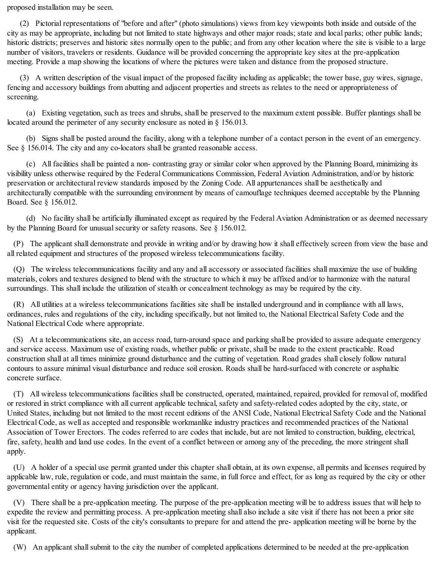proposed installation may be seen.

(2) Pictorial representations of "before and after" (photo simulations) views from key viewpoints both inside and outside of the city as may be appropriate, including but not limited to state highways and other major roads; state and local parks; other public lands; historic districts; preserves and historic sites normally open to the public; and from any other location where the site is visible to a large number of visitors, travelers or residents. Guidance will be provided concerning the appropriate key sites at the pre-application meeting. Provide a map showing the locations of where the pictures were taken and distance from the proposed structure.

(3) A written description of the visual impact of the proposed facility including as applicable; the tower base, guy wires, signage, fencing and accessory buildings from abutting and adjacent properties and streets as relates to the need or appropriateness of screening.

(a) Existing vegetation, such as trees and shrubs, shall be preserved to the maximum extent possible. Buffer plantings shall be located around the perimeter of any security enclosure as noted in § 156.013.

(b) Signs shall be posted around the facility, along with a telephone number of a contact person in the event of an emergency. See § 156.014. The city and any co-locators shall be granted reasonable access.

(c) All facilities shall be painted a non- contrasting gray or similar color when approved by the Planning Board, minimizing its visibility unless otherwise required by the Federal Communications Commission, Federal Aviation Administration, and/or by historic preservation or architectural review standards imposed by the Zoning Code. All appurtenances shall be aesthetically and architecturally compatible with the surrounding environment by means of camouflage techniques deemed acceptable by the Planning Board. See § 156.012.

(d) No facility shall be artificially illuminated except as required by the Federal Aviation Administration or as deemed necessary by the Planning Board for unusual security or safety reasons. See  $\S$  156.012.

(P) The applicant shall demonstrate and provide in writing and/or by drawing how it shall effectively screen from view the base and all related equipment and structures of the proposed wireless telecommunications facility.

(Q) The wireless telecommunications facility and any and all accessory or associated facilities shall maximize the use of building materials, colors and textures designed to blend with the structure to which it may be affixed and/or to harmonize with the natural surroundings. This shall include the utilization of stealth or concealment technology as may be required by the city.

(R) All utilities at a wireless telecommunications facilities site shall be installed underground and in compliance with all laws, ordinances, rules and regulations of the city, including specifically, but not limited to, the National Electrical Safety Code and the National Electrical Code where appropriate.

(S) At a telecommunications site, an access road, turn-around space and parking shall be provided to assure adequate emergency and service access. Maximum use of existing roads, whether public or private, shall be made to the extent practicable. Road construction shall at all times minimize ground disturbance and the cutting of vegetation. Road grades shall closely follow natural contours to assure minimal visual disturbance and reduce soil erosion. Roads shall be hard-surfaced with concrete or asphaltic concrete surface.

(T) All wireless telecommunications facilities shall be constructed, operated, maintained, repaired, provided for removal of, modified or restored in strict compliance with all current applicable technical, safety and safety-related codes adopted by the city, state, or United States, including but not limited to the most recent editions of the ANSI Code, National Electrical Safety Code and the National Electrical Code, as well as accepted and responsible workmanlike industry practices and recommended practices of the National Association of Tower Erectors. The codes referred to are codes that include, but are not limited to construction, building, electrical, fire, safety, health and land use codes. In the event of a conflict between or among any of the preceding, the more stringent shall apply.

(U) A holder of a special use permit granted under this chapter shall obtain, at its own expense, all permits and licenses required by applicable law, rule, regulation or code, and must maintain the same, in full force and effect, for as long as required by the city or other governmental entity or agency having jurisdiction over the applicant.

(V) There shall be a pre-application meeting. The purpose of the pre-application meeting will be to address issues that will help to expedite the review and permitting process. A pre-application meeting shall also include a site visit if there has not been a prior site visit for the requested site. Costs of the city's consultants to prepare for and attend the pre- application meeting will be borne by the applicant.

(W) An applicant shallsubmit to the city the number of completed applications determined to be needed at the pre-application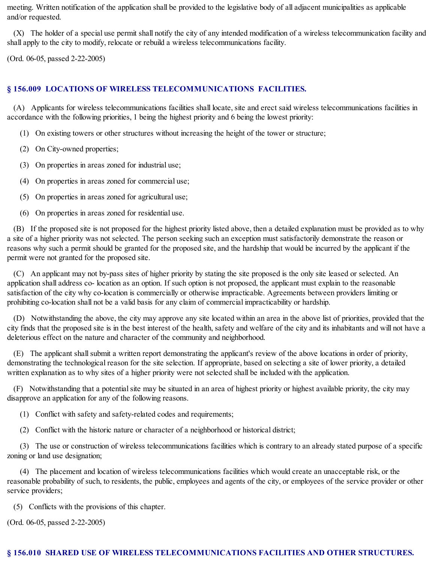meeting. Written notification of the application shall be provided to the legislative body of all adjacent municipalities as applicable and/or requested.

(X) The holder of a special use permit shall notify the city of any intended modification of a wireless telecommunication facility and shall apply to the city to modify, relocate or rebuild a wireless telecommunications facility.

(Ord. 06-05, passed 2-22-2005)

## **§ 156.009 LOCATIONS OF WIRELESS TELECOMMUNICATIONS FACILITIES.**

(A) Applicants for wireless telecommunications facilities shall locate, site and erect said wireless telecommunications facilities in accordance with the following priorities, 1 being the highest priority and 6 being the lowest priority:

- (1) On existing towers or other structures without increasing the height of the tower or structure;
- (2) On City-owned properties;
- (3) On properties in areas zoned for industrial use;
- (4) On properties in areas zoned for commercial use;
- (5) On properties in areas zoned for agricultural use;
- (6) On properties in areas zoned for residential use.

(B) If the proposed site is not proposed for the highest priority listed above, then a detailed explanation must be provided as to why a site of a higher priority was not selected. The person seeking such an exception must satisfactorily demonstrate the reason or reasons why such a permit should be granted for the proposed site, and the hardship that would be incurred by the applicant if the permit were not granted for the proposed site.

(C) An applicant may not by-pass sites of higher priority by stating the site proposed is the only site leased or selected. An application shall address co- location as an option. If such option is not proposed, the applicant must explain to the reasonable satisfaction of the city why co-location is commercially or otherwise impracticable. Agreements between providers limiting or prohibiting co-location shall not be a valid basis for any claim of commercial impracticability or hardship.

(D) Notwithstanding the above, the city may approve any site located within an area in the above list of priorities, provided that the city finds that the proposed site is in the best interest of the health, safety and welfare of the city and its inhabitants and will not have a deleterious effect on the nature and character of the community and neighborhood.

(E) The applicant shallsubmit a written report demonstrating the applicant's review of the above locations in order of priority, demonstrating the technological reason for the site selection. If appropriate, based on selecting a site of lower priority, a detailed written explanation as to why sites of a higher priority were not selected shall be included with the application.

(F) Notwithstanding that a potentialsite may be situated in an area of highest priority or highest available priority, the city may disapprove an application for any of the following reasons.

- (1) Conflict with safety and safety-related codes and requirements;
- (2) Conflict with the historic nature or character of a neighborhood or historical district;

(3) The use or construction of wireless telecommunications facilities which is contrary to an already stated purpose of a specific zoning or land use designation;

(4) The placement and location of wireless telecommunications facilities which would create an unacceptable risk, or the reasonable probability of such, to residents, the public, employees and agents of the city, or employees of the service provider or other service providers;

(5) Conflicts with the provisions of this chapter.

(Ord. 06-05, passed 2-22-2005)

## **§ 156.010 SHARED USE OF WIRELESS TELECOMMUNICATIONS FACILITIES AND OTHER STRUCTURES.**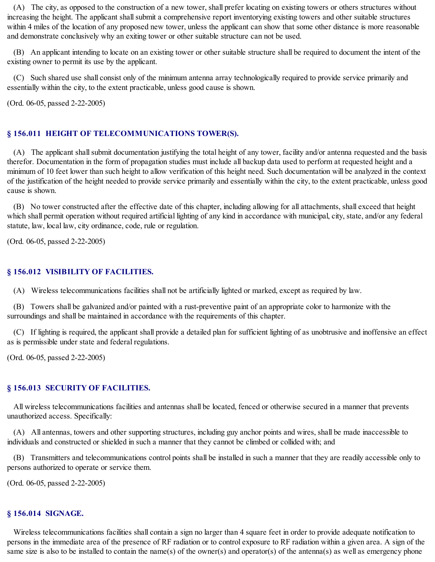(A) The city, as opposed to the construction of a new tower, shall prefer locating on existing towers or others structures without increasing the height. The applicant shall submit a comprehensive report inventorying existing towers and other suitable structures within 4 miles of the location of any proposed new tower, unless the applicant can show that some other distance is more reasonable and demonstrate conclusively why an exiting tower or other suitable structure can not be used.

(B) An applicant intending to locate on an existing tower or other suitable structure shall be required to document the intent of the existing owner to permit its use by the applicant.

(C) Such shared use shall consist only of the minimum antenna array technologically required to provide service primarily and essentially within the city, to the extent practicable, unless good cause is shown.

(Ord. 06-05, passed 2-22-2005)

### **§ 156.011 HEIGHT OF TELECOMMUNICATIONS TOWER(S).**

(A) The applicant shall submit documentation justifying the total height of any tower, facility and/or antenna requested and the basis therefor. Documentation in the form of propagation studies must include all backup data used to perform at requested height and a minimum of 10 feet lower than such height to allow verification of this height need. Such documentation will be analyzed in the context of the justification of the height needed to provide service primarily and essentially within the city, to the extent practicable, unless good cause is shown.

(B) No tower constructed after the effective date of this chapter, including allowing for all attachments, shall exceed that height which shall permit operation without required artificial lighting of any kind in accordance with municipal, city, state, and/or any federal statute, law, local law, city ordinance, code, rule or regulation.

(Ord. 06-05, passed 2-22-2005)

### **§ 156.012 VISIBILITY OF FACILITIES.**

(A) Wireless telecommunications facilities shall not be artificially lighted or marked, except as required by law.

(B) Towers shall be galvanized and/or painted with a rust-preventive paint of an appropriate color to harmonize with the surroundings and shall be maintained in accordance with the requirements of this chapter.

(C) If lighting is required, the applicant shall provide a detailed plan for sufficient lighting of as unobtrusive and inoffensive an effect as is permissible under state and federal regulations.

(Ord. 06-05, passed 2-22-2005)

### **§ 156.013 SECURITY OF FACILITIES.**

All wireless telecommunications facilities and antennas shall be located, fenced or otherwise secured in a manner that prevents unauthorized access. Specifically:

(A) All antennas, towers and other supporting structures, including guy anchor points and wires, shall be made inaccessible to individuals and constructed or shielded in such a manner that they cannot be climbed or collided with; and

(B) Transmitters and telecommunications control points shall be installed in such a manner that they are readily accessible only to persons authorized to operate or service them.

(Ord. 06-05, passed 2-22-2005)

### **§ 156.014 SIGNAGE.**

Wireless telecommunications facilities shall contain a sign no larger than 4 square feet in order to provide adequate notification to persons in the immediate area of the presence of RF radiation or to control exposure to RF radiation within a given area. A sign of the same size is also to be installed to contain the name(s) of the owner(s) and operator(s) of the antenna(s) as well as emergency phone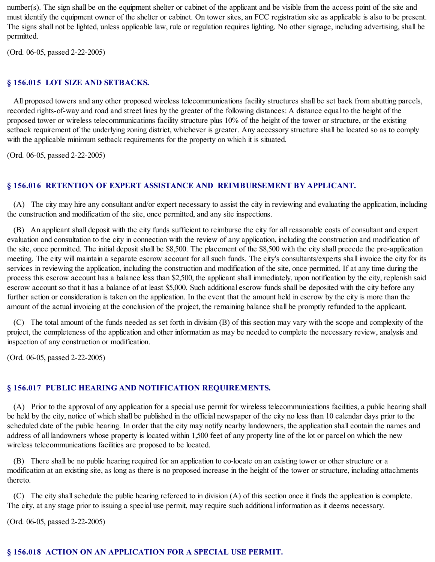number(s). The sign shall be on the equipment shelter or cabinet of the applicant and be visible from the access point of the site and must identify the equipment owner of the shelter or cabinet. On tower sites, an FCC registration site as applicable is also to be present. The signs shall not be lighted, unless applicable law, rule or regulation requires lighting. No other signage, including advertising, shall be permitted.

(Ord. 06-05, passed 2-22-2005)

### **§ 156.015 LOT SIZE AND SETBACKS.**

All proposed towers and any other proposed wireless telecommunications facility structures shall be set back from abutting parcels, recorded rights-of-way and road and street lines by the greater of the following distances: A distance equal to the height of the proposed tower or wireless telecommunications facility structure plus 10% of the height of the tower or structure, or the existing setback requirement of the underlying zoning district, whichever is greater. Any accessory structure shall be located so as to comply with the applicable minimum setback requirements for the property on which it is situated.

(Ord. 06-05, passed 2-22-2005)

### **§ 156.016 RETENTION OF EXPERT ASSISTANCE AND REIMBURSEMENT BY APPLICANT.**

(A) The city may hire any consultant and/or expert necessary to assist the city in reviewing and evaluating the application, including the construction and modification of the site, once permitted, and any site inspections.

(B) An applicant shall deposit with the city funds sufficient to reimburse the city for all reasonable costs of consultant and expert evaluation and consultation to the city in connection with the review of any application, including the construction and modification of the site, once permitted. The initial deposit shall be \$8,500. The placement of the \$8,500 with the city shall precede the pre-application meeting. The city will maintain a separate escrow account for allsuch funds. The city's consultants/experts shall invoice the city for its services in reviewing the application, including the construction and modification of the site, once permitted. If at any time during the process this escrow account has a balance less than \$2,500, the applicant shall immediately, upon notification by the city, replenish said escrow account so that it has a balance of at least \$5,000. Such additional escrow funds shall be deposited with the city before any further action or consideration is taken on the application. In the event that the amount held in escrow by the city is more than the amount of the actual invoicing at the conclusion of the project, the remaining balance shall be promptly refunded to the applicant.

(C) The total amount of the funds needed as set forth in division (B) of this section may vary with the scope and complexity of the project, the completeness of the application and other information as may be needed to complete the necessary review, analysis and inspection of any construction or modification.

(Ord. 06-05, passed 2-22-2005)

## **§ 156.017 PUBLIC HEARING AND NOTIFICATION REQUIREMENTS.**

(A) Prior to the approval of any application for a special use permit for wireless telecommunications facilities, a public hearing shall be held by the city, notice of which shall be published in the official newspaper of the city no less than 10 calendar days prior to the scheduled date of the public hearing. In order that the city may notify nearby landowners, the application shall contain the names and address of all landowners whose property is located within 1,500 feet of any property line of the lot or parcel on which the new wireless telecommunications facilities are proposed to be located.

(B) There shall be no public hearing required for an application to co-locate on an existing tower or other structure or a modification at an existing site, as long as there is no proposed increase in the height of the tower or structure, including attachments thereto.

(C) The city shallschedule the public hearing refereed to in division (A) of this section once it finds the application is complete. The city, at any stage prior to issuing a special use permit, may require such additional information as it deems necessary.

(Ord. 06-05, passed 2-22-2005)

## **§ 156.018 ACTION ON AN APPLICATION FOR A SPECIAL USE PERMIT.**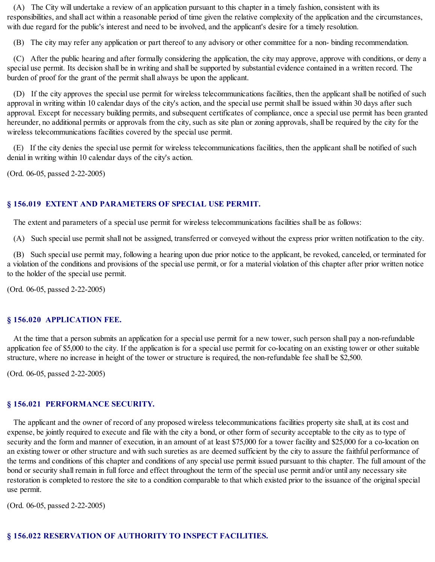(A) The City will undertake a review of an application pursuant to this chapter in a timely fashion, consistent with its responsibilities, and shall act within a reasonable period of time given the relative complexity of the application and the circumstances, with due regard for the public's interest and need to be involved, and the applicant's desire for a timely resolution.

(B) The city may refer any application or part thereof to any advisory or other committee for a non- binding recommendation.

(C) After the public hearing and after formally considering the application, the city may approve, approve with conditions, or deny a special use permit. Its decision shall be in writing and shall be supported by substantial evidence contained in a written record. The burden of proof for the grant of the permit shall always be upon the applicant.

(D) If the city approves the special use permit for wireless telecommunications facilities, then the applicant shall be notified of such approval in writing within 10 calendar days of the city's action, and the special use permit shall be issued within 30 days after such approval. Except for necessary building permits, and subsequent certificates of compliance, once a special use permit has been granted hereunder, no additional permits or approvals from the city, such as site plan or zoning approvals, shall be required by the city for the wireless telecommunications facilities covered by the special use permit.

(E) If the city denies the special use permit for wireless telecommunications facilities, then the applicant shall be notified of such denial in writing within 10 calendar days of the city's action.

(Ord. 06-05, passed 2-22-2005)

## **§ 156.019 EXTENT AND PARAMETERS OF SPECIAL USE PERMIT.**

The extent and parameters of a special use permit for wireless telecommunications facilities shall be as follows:

(A) Such special use permit shall not be assigned, transferred or conveyed without the express prior written notification to the city.

(B) Such special use permit may, following a hearing upon due prior notice to the applicant, be revoked, canceled, or terminated for a violation of the conditions and provisions of the special use permit, or for a material violation of this chapter after prior written notice to the holder of the special use permit.

(Ord. 06-05, passed 2-22-2005)

### **§ 156.020 APPLICATION FEE.**

At the time that a person submits an application for a special use permit for a new tower, such person shall pay a non-refundable application fee of \$5,000 to the city. If the application is for a special use permit for co-locating on an existing tower or other suitable structure, where no increase in height of the tower or structure is required, the non-refundable fee shall be \$2,500.

(Ord. 06-05, passed 2-22-2005)

# **§ 156.021 PERFORMANCE SECURITY.**

The applicant and the owner of record of any proposed wireless telecommunications facilities property site shall, at its cost and expense, be jointly required to execute and file with the city a bond, or other form of security acceptable to the city as to type of security and the form and manner of execution, in an amount of at least \$75,000 for a tower facility and \$25,000 for a co-location on an existing tower or other structure and with such sureties as are deemed sufficient by the city to assure the faithful performance of the terms and conditions of this chapter and conditions of any special use permit issued pursuant to this chapter. The full amount of the bond or security shall remain in full force and effect throughout the term of the special use permit and/or until any necessary site restoration is completed to restore the site to a condition comparable to that which existed prior to the issuance of the original special use permit.

(Ord. 06-05, passed 2-22-2005)

# **§ 156.022 RESERVATION OF AUTHORITY TO INSPECT FACILITIES.**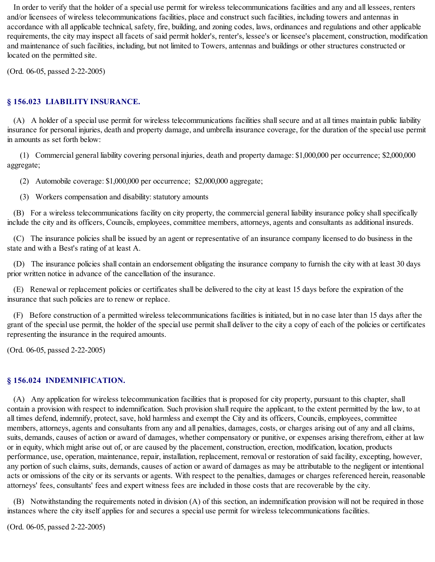In order to verify that the holder of a special use permit for wireless telecommunications facilities and any and all lessees, renters and/or licensees of wireless telecommunications facilities, place and construct such facilities, including towers and antennas in accordance with all applicable technical, safety, fire, building, and zoning codes, laws, ordinances and regulations and other applicable requirements, the city may inspect all facets of said permit holder's, renter's, lessee's or licensee's placement, construction, modification and maintenance of such facilities, including, but not limited to Towers, antennas and buildings or other structures constructed or located on the permitted site.

(Ord. 06-05, passed 2-22-2005)

## **§ 156.023 LIABILITY INSURANCE.**

(A) A holder of a special use permit for wireless telecommunications facilities shallsecure and at all times maintain public liability insurance for personal injuries, death and property damage, and umbrella insurance coverage, for the duration of the special use permit in amounts as set forth below:

(1) Commercial general liability covering personal injuries, death and property damage: \$1,000,000 per occurrence; \$2,000,000 aggregate;

(2) Automobile coverage: \$1,000,000 per occurrence; \$2,000,000 aggregate;

(3) Workers compensation and disability: statutory amounts

(B) For a wireless telecommunications facility on city property, the commercial general liability insurance policy shallspecifically include the city and its officers, Councils, employees, committee members, attorneys, agents and consultants as additional insureds.

(C) The insurance policies shall be issued by an agent or representative of an insurance company licensed to do business in the state and with a Best's rating of at least A.

(D) The insurance policies shall contain an endorsement obligating the insurance company to furnish the city with at least 30 days prior written notice in advance of the cancellation of the insurance.

(E) Renewal or replacement policies or certificates shall be delivered to the city at least 15 days before the expiration of the insurance that such policies are to renew or replace.

(F) Before construction of a permitted wireless telecommunications facilities is initiated, but in no case later than 15 days after the grant of the special use permit, the holder of the special use permit shall deliver to the city a copy of each of the policies or certificates representing the insurance in the required amounts.

(Ord. 06-05, passed 2-22-2005)

### **§ 156.024 INDEMNIFICATION.**

(A) Any application for wireless telecommunication facilities that is proposed for city property, pursuant to this chapter, shall contain a provision with respect to indemnification. Such provision shall require the applicant, to the extent permitted by the law, to at all times defend, indemnify, protect, save, hold harmless and exempt the City and its officers, Councils, employees, committee members, attorneys, agents and consultants from any and all penalties, damages, costs, or charges arising out of any and all claims, suits, demands, causes of action or award of damages, whether compensatory or punitive, or expenses arising therefrom, either at law or in equity, which might arise out of, or are caused by the placement, construction, erection, modification, location, products performance, use, operation, maintenance, repair, installation, replacement, removal or restoration of said facility, excepting, however, any portion of such claims, suits, demands, causes of action or award of damages as may be attributable to the negligent or intentional acts or omissions of the city or its servants or agents. With respect to the penalties, damages or charges referenced herein, reasonable attorneys' fees, consultants' fees and expert witness fees are included in those costs that are recoverable by the city.

(B) Notwithstanding the requirements noted in division (A) of this section, an indemnification provision will not be required in those instances where the city itself applies for and secures a special use permit for wireless telecommunications facilities.

(Ord. 06-05, passed 2-22-2005)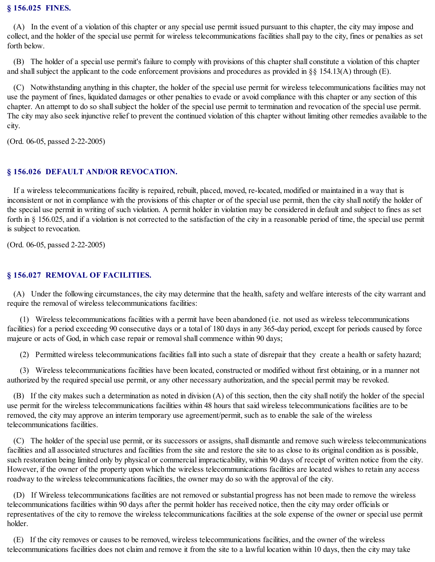### **§ 156.025 FINES.**

(A) In the event of a violation of this chapter or any special use permit issued pursuant to this chapter, the city may impose and collect, and the holder of the special use permit for wireless telecommunications facilities shall pay to the city, fines or penalties as set forth below.

(B) The holder of a special use permit's failure to comply with provisions of this chapter shall constitute a violation of this chapter and shall subject the applicant to the code enforcement provisions and procedures as provided in  $\S$ § 154.13(A) through (E).

(C) Notwithstanding anything in this chapter, the holder of the special use permit for wireless telecommunications facilities may not use the payment of fines, liquidated damages or other penalties to evade or avoid compliance with this chapter or any section of this chapter. An attempt to do so shall subject the holder of the special use permit to termination and revocation of the special use permit. The city may also seek injunctive relief to prevent the continued violation of this chapter without limiting other remedies available to the city.

(Ord. 06-05, passed 2-22-2005)

### **§ 156.026 DEFAULT AND/OR REVOCATION.**

If a wireless telecommunications facility is repaired, rebuilt, placed, moved, re-located, modified or maintained in a way that is inconsistent or not in compliance with the provisions of this chapter or of the special use permit, then the city shall notify the holder of the special use permit in writing of such violation. A permit holder in violation may be considered in default and subject to fines as set forth in § 156.025, and if a violation is not corrected to the satisfaction of the city in a reasonable period of time, the special use permit is subject to revocation.

(Ord. 06-05, passed 2-22-2005)

### **§ 156.027 REMOVAL OF FACILITIES.**

(A) Under the following circumstances, the city may determine that the health, safety and welfare interests of the city warrant and require the removal of wireless telecommunications facilities:

(1) Wireless telecommunications facilities with a permit have been abandoned (i.e. not used as wireless telecommunications facilities) for a period exceeding 90 consecutive days or a total of 180 days in any 365-day period, except for periods caused by force majeure or acts of God, in which case repair or removalshall commence within 90 days;

(2) Permitted wireless telecommunications facilities fall into such a state of disrepair that they create a health or safety hazard;

(3) Wireless telecommunications facilities have been located, constructed or modified without first obtaining, or in a manner not authorized by the required special use permit, or any other necessary authorization, and the special permit may be revoked.

(B) If the city makes such a determination as noted in division (A) of this section, then the city shall notify the holder of the special use permit for the wireless telecommunications facilities within 48 hours that said wireless telecommunications facilities are to be removed, the city may approve an interim temporary use agreement/permit, such as to enable the sale of the wireless telecommunications facilities.

(C) The holder of the special use permit, or its successors or assigns, shall dismantle and remove such wireless telecommunications facilities and all associated structures and facilities from the site and restore the site to as close to its original condition as is possible, such restoration being limited only by physical or commercial impracticability, within 90 days of receipt of written notice from the city. However, if the owner of the property upon which the wireless telecommunications facilities are located wishes to retain any access roadway to the wireless telecommunications facilities, the owner may do so with the approval of the city.

(D) If Wireless telecommunications facilities are not removed or substantial progress has not been made to remove the wireless telecommunications facilities within 90 days after the permit holder has received notice, then the city may order officials or representatives of the city to remove the wireless telecommunications facilities at the sole expense of the owner or special use permit holder.

(E) If the city removes or causes to be removed, wireless telecommunications facilities, and the owner of the wireless telecommunications facilities does not claim and remove it from the site to a lawful location within 10 days, then the city may take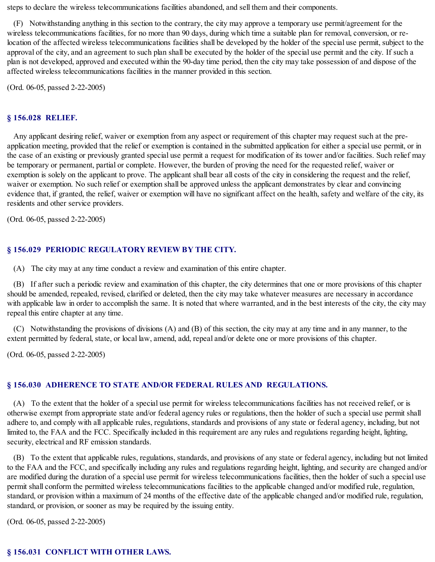steps to declare the wireless telecommunications facilities abandoned, and sell them and their components.

(F) Notwithstanding anything in this section to the contrary, the city may approve a temporary use permit/agreement for the wireless telecommunications facilities, for no more than 90 days, during which time a suitable plan for removal, conversion, or relocation of the affected wireless telecommunications facilities shall be developed by the holder of the special use permit, subject to the approval of the city, and an agreement to such plan shall be executed by the holder of the special use permit and the city. If such a plan is not developed, approved and executed within the 90-day time period, then the city may take possession of and dispose of the affected wireless telecommunications facilities in the manner provided in this section.

(Ord. 06-05, passed 2-22-2005)

### **§ 156.028 RELIEF.**

Any applicant desiring relief, waiver or exemption from any aspect or requirement of this chapter may request such at the preapplication meeting, provided that the relief or exemption is contained in the submitted application for either a special use permit, or in the case of an existing or previously granted special use permit a request for modification of its tower and/or facilities. Such relief may be temporary or permanent, partial or complete. However, the burden of proving the need for the requested relief, waiver or exemption is solely on the applicant to prove. The applicant shall bear all costs of the city in considering the request and the relief, waiver or exemption. No such relief or exemption shall be approved unless the applicant demonstrates by clear and convincing evidence that, if granted, the relief, waiver or exemption will have no significant affect on the health, safety and welfare of the city, its residents and other service providers.

(Ord. 06-05, passed 2-22-2005)

### **§ 156.029 PERIODIC REGULATORY REVIEW BY THE CITY.**

(A) The city may at any time conduct a review and examination of this entire chapter.

(B) If after such a periodic review and examination of this chapter, the city determines that one or more provisions of this chapter should be amended, repealed, revised, clarified or deleted, then the city may take whatever measures are necessary in accordance with applicable law in order to accomplish the same. It is noted that where warranted, and in the best interests of the city, the city may repeal this entire chapter at any time.

(C) Notwithstanding the provisions of divisions (A) and (B) of this section, the city may at any time and in any manner, to the extent permitted by federal, state, or local law, amend, add, repeal and/or delete one or more provisions of this chapter.

(Ord. 06-05, passed 2-22-2005)

### **§ 156.030 ADHERENCE TO STATE AND/OR FEDERAL RULES AND REGULATIONS.**

(A) To the extent that the holder of a special use permit for wireless telecommunications facilities has not received relief, or is otherwise exempt from appropriate state and/or federal agency rules or regulations, then the holder of such a special use permit shall adhere to, and comply with all applicable rules, regulations, standards and provisions of any state or federal agency, including, but not limited to, the FAA and the FCC. Specifically included in this requirement are any rules and regulations regarding height, lighting, security, electrical and RF emission standards.

(B) To the extent that applicable rules, regulations, standards, and provisions of any state or federal agency, including but not limited to the FAA and the FCC, and specifically including any rules and regulations regarding height, lighting, and security are changed and/or are modified during the duration of a special use permit for wireless telecommunications facilities, then the holder of such a special use permit shall conform the permitted wireless telecommunications facilities to the applicable changed and/or modified rule, regulation, standard, or provision within a maximum of 24 months of the effective date of the applicable changed and/or modified rule, regulation, standard, or provision, or sooner as may be required by the issuing entity.

(Ord. 06-05, passed 2-22-2005)

### **§ 156.031 CONFLICT WITH OTHER LAWS.**